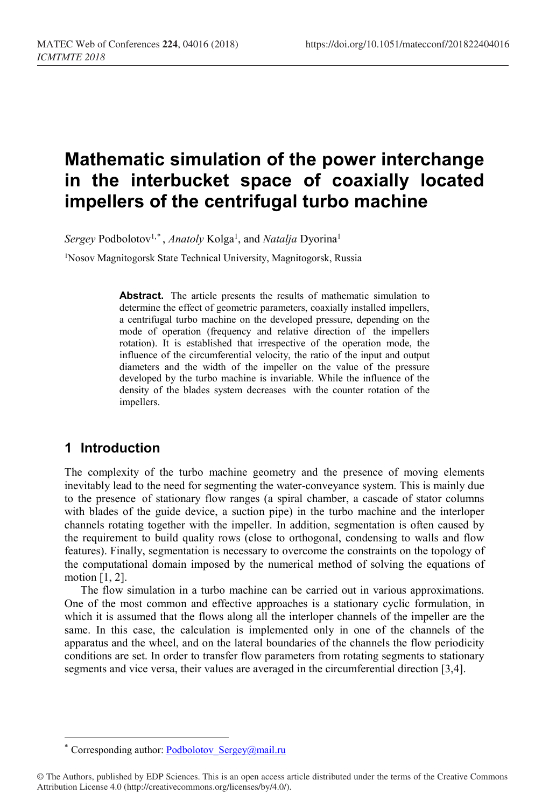# **Mathematic simulation of the power interchange in the interbucket space of coaxially located impellers of the centrifugal turbo machine**

Sergey Podbolotov<sup>1,[\\*](#page-0-0)</sup>, *Anatoly* Kolga<sup>1</sup>, and *Natalja* Dyorina<sup>1</sup>

1Nosov Magnitogorsk State Technical University, Magnitogorsk, Russia

Abstract. The article presents the results of mathematic simulation to determine the effect of geometric parameters, coaxially installed impellers, a centrifugal turbo machine on the developed pressure, depending on the mode of operation (frequency and relative direction of the impellers rotation). It is established that irrespective of the operation mode, the influence of the circumferential velocity, the ratio of the input and output diameters and the width of the impeller on the value of the pressure developed by the turbo machine is invariable. While the influence of the density of the blades system decreases with the counter rotation of the impellers.

## **1 Introduction**

 $\overline{\phantom{a}}$ 

The complexity of the turbo machine geometry and the presence of moving elements inevitably lead to the need for segmenting the water-conveyance system. This is mainly due to the presence of stationary flow ranges (a spiral chamber, a cascade of stator columns with blades of the guide device, a suction pipe) in the turbo machine and the interloper channels rotating together with the impeller. In addition, segmentation is often caused by the requirement to build quality rows (close to orthogonal, condensing to walls and flow features). Finally, segmentation is necessary to overcome the constraints on the topology of the computational domain imposed by the numerical method of solving the equations of motion [1, 2].

The flow simulation in a turbo machine can be carried out in various approximations. One of the most common and effective approaches is a stationary cyclic formulation, in which it is assumed that the flows along all the interloper channels of the impeller are the same. In this case, the calculation is implemented only in one of the channels of the apparatus and the wheel, and on the lateral boundaries of the channels the flow periodicity conditions are set. In order to transfer flow parameters from rotating segments to stationary segments and vice versa, their values are averaged in the circumferential direction [3,4].

Corresponding author: Podbolotov Sergey@mail.ru

<span id="page-0-0"></span><sup>©</sup> The Authors, published by EDP Sciences. This is an open access article distributed under the terms of the Creative Commons Attribution License 4.0 (http://creativecommons.org/licenses/by/4.0/).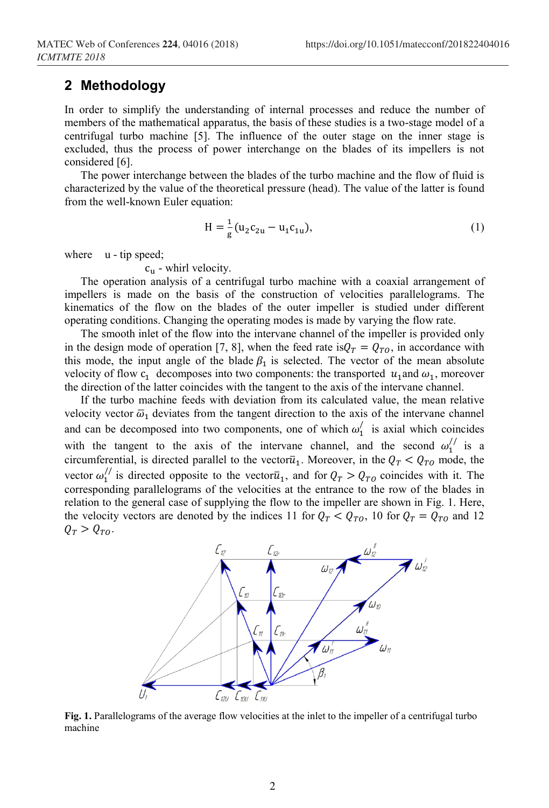#### **2 Methodology**

In order to simplify the understanding of internal processes and reduce the number of members of the mathematical apparatus, the basis of these studies is a two-stage model of a centrifugal turbo machine [5]. The influence of the outer stage on the inner stage is excluded, thus the process of power interchange on the blades of its impellers is not considered [6].

The power interchange between the blades of the turbo machine and the flow of fluid is characterized by the value of the theoretical pressure (head). The value of the latter is found from the well-known Euler equation:

$$
H = \frac{1}{g} (u_2 c_{2u} - u_1 c_{1u}),
$$
\n(1)

where u - tip speed;

 $c<sub>u</sub>$  - whirl velocity.

The operation analysis of a centrifugal turbo machine with a coaxial arrangement of impellers is made on the basis of the construction of velocities parallelograms. The kinematics of the flow on the blades of the outer impeller is studied under different operating conditions. Changing the operating modes is made by varying the flow rate.

The smooth inlet of the flow into the intervane channel of the impeller is provided only in the design mode of operation [7, 8], when the feed rate is  $Q_T = Q_{TQ}$ , in accordance with this mode, the input angle of the blade  $\beta_1$  is selected. The vector of the mean absolute velocity of flow  $c_1$  decomposes into two components: the transported  $u_1$  and  $\omega_1$ , moreover the direction of the latter coincides with the tangent to the axis of the intervane channel.

If the turbo machine feeds with deviation from its calculated value, the mean relative velocity vector  $\bar{\omega}_1$  deviates from the tangent direction to the axis of the intervane channel and can be decomposed into two components, one of which  $\omega'_1$  is axial which coincides with the tangent to the axis of the intervane channel, and the second  $\omega_1^{\prime\prime}$  is a circumferential, is directed parallel to the vector  $\bar{u}_1$ . Moreover, in the  $Q_T < Q_{T0}$  mode, the vector  $\omega_1^{1}$  is directed opposite to the vector  $\overline{u}_1$ , and for  $Q_T > Q_{TQ}$  coincides with it. The corresponding parallelograms of the velocities at the entrance to the row of the blades in relation to the general case of supplying the flow to the impeller are shown in Fig. 1. Here, the velocity vectors are denoted by the indices 11 for  $Q_T < Q_{T0}$ , 10 for  $Q_T = Q_{T0}$  and 12  $Q_T > Q_{TQ}$ .



**Fig. 1.** Parallelograms of the average flow velocities at the inlet to the impeller of a centrifugal turbo machine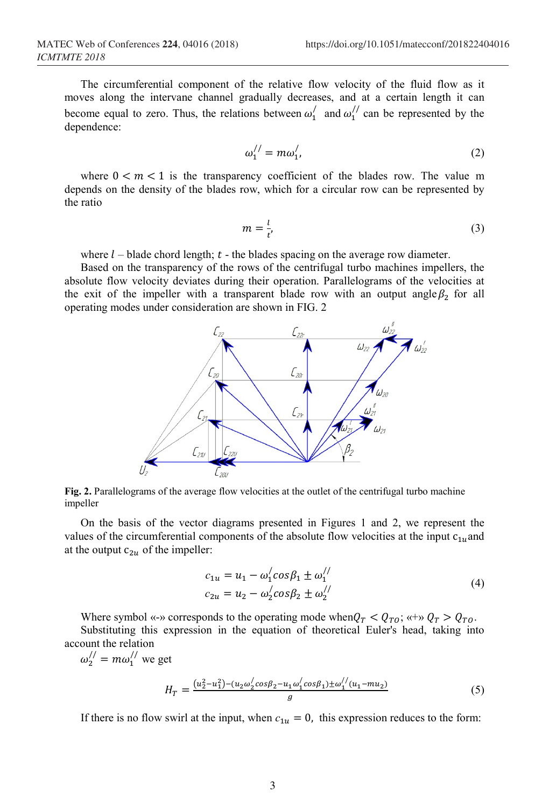The circumferential component of the relative flow velocity of the fluid flow as it moves along the intervane channel gradually decreases, and at a certain length it can become equal to zero. Thus, the relations between  $\omega'_1$  and  $\omega''_1$  can be represented by the dependence:

$$
\omega_1^{//} = m\omega_1',\tag{2}
$$

where  $0 \lt m \lt 1$  is the transparency coefficient of the blades row. The value m depends on the density of the blades row, which for a circular row can be represented by the ratio

$$
m = \frac{l}{t'},\tag{3}
$$

where  $l$  – blade chord length;  $t$  - the blades spacing on the average row diameter.

Based on the transparency of the rows of the centrifugal turbo machines impellers, the absolute flow velocity deviates during their operation. Parallelograms of the velocities at the exit of the impeller with a transparent blade row with an output angle  $\beta_2$  for all operating modes under consideration are shown in FIG. 2



**Fig. 2.** Parallelograms of the average flow velocities at the outlet of the centrifugal turbo machine impeller

On the basis of the vector diagrams presented in Figures 1 and 2, we represent the values of the circumferential components of the absolute flow velocities at the input  $c_{1u}$  and at the output  $c_{2u}$  of the impeller:

$$
c_{1u} = u_1 - \omega_1' \cos \beta_1 \pm \omega_1''
$$
  
\n
$$
c_{2u} = u_2 - \omega_2' \cos \beta_2 \pm \omega_2''
$$
\n(4)

Where symbol «-» corresponds to the operating mode when  $Q_T < Q_{T0}$ ; «+»  $Q_T > Q_{T0}$ .

Substituting this expression in the equation of theoretical Euler's head, taking into account the relation

 $\omega_2^{//} = m\omega_1^{//}$  we get

$$
H_T = \frac{(u_2^2 - u_1^2) - (u_2 \omega_2' \cos \beta_2 - u_1 \omega_1' \cos \beta_1) \pm \omega_1''(u_1 - mu_2)}{g}
$$
(5)

If there is no flow swirl at the input, when  $c_{1u} = 0$ , this expression reduces to the form: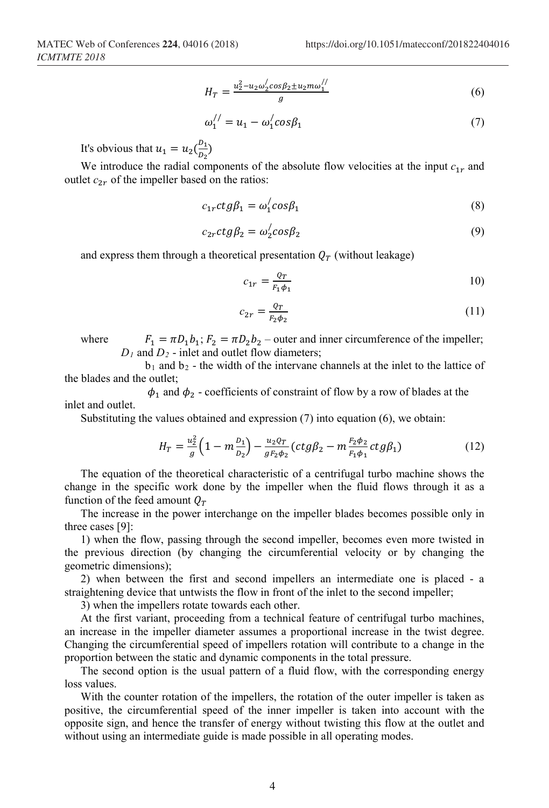$$
H_T = \frac{u_2^2 - u_2 \omega_2' \cos \beta_2 \pm u_2 m \omega_1''}{g} \tag{6}
$$

$$
\omega_1^{//} = u_1 - \omega_1^{/} \cos \beta_1 \tag{7}
$$

It's obvious that  $u_1 = u_2(\frac{b_1}{b_2})$  $\frac{1}{D_2}$ 

We introduce the radial components of the absolute flow velocities at the input  $c_{1r}$  and outlet  $c_{2r}$  of the impeller based on the ratios:

$$
c_{1r}ctg\beta_1 = \omega_1'cos\beta_1\tag{8}
$$

$$
c_{2r}ctg\beta_2 = \omega_2' \cos\beta_2 \tag{9}
$$

and express them through a theoretical presentation  $Q_T$  (without leakage)

$$
c_{1r} = \frac{q_r}{F_1 \phi_1} \tag{10}
$$

$$
c_{2r} = \frac{\varrho_T}{F_2 \phi_2} \tag{11}
$$

where  $F_1 = \pi D_1 b_1; F_2 = \pi D_2 b_2$  – outer and inner circumference of the impeller;  $D_1$  and  $D_2$  - inlet and outlet flow diameters;

 $b_1$  and  $b_2$  - the width of the intervane channels at the inlet to the lattice of the blades and the outlet;

 $\phi_1$  and  $\phi_2$  - coefficients of constraint of flow by a row of blades at the inlet and outlet.

Substituting the values obtained and expression (7) into equation (6), we obtain:

$$
H_T = \frac{u_2^2}{g} \left( 1 - m \frac{D_1}{D_2} \right) - \frac{u_2 \rho_T}{g_{F_2 \phi_2}} \left( ctg \beta_2 - m \frac{F_2 \phi_2}{F_1 \phi_1} ctg \beta_1 \right) \tag{12}
$$

The equation of the theoretical characteristic of a centrifugal turbo machine shows the change in the specific work done by the impeller when the fluid flows through it as a function of the feed amount  $Q_T$ 

The increase in the power interchange on the impeller blades becomes possible only in three cases [9]:

1) when the flow, passing through the second impeller, becomes even more twisted in the previous direction (by changing the circumferential velocity or by changing the geometric dimensions);

2) when between the first and second impellers an intermediate one is placed - a straightening device that untwists the flow in front of the inlet to the second impeller;

3) when the impellers rotate towards each other.

At the first variant, proceeding from a technical feature of centrifugal turbo machines, an increase in the impeller diameter assumes a proportional increase in the twist degree. Changing the circumferential speed of impellers rotation will contribute to a change in the proportion between the static and dynamic components in the total pressure.

The second option is the usual pattern of a fluid flow, with the corresponding energy loss values.

With the counter rotation of the impellers, the rotation of the outer impeller is taken as positive, the circumferential speed of the inner impeller is taken into account with the opposite sign, and hence the transfer of energy without twisting this flow at the outlet and without using an intermediate guide is made possible in all operating modes.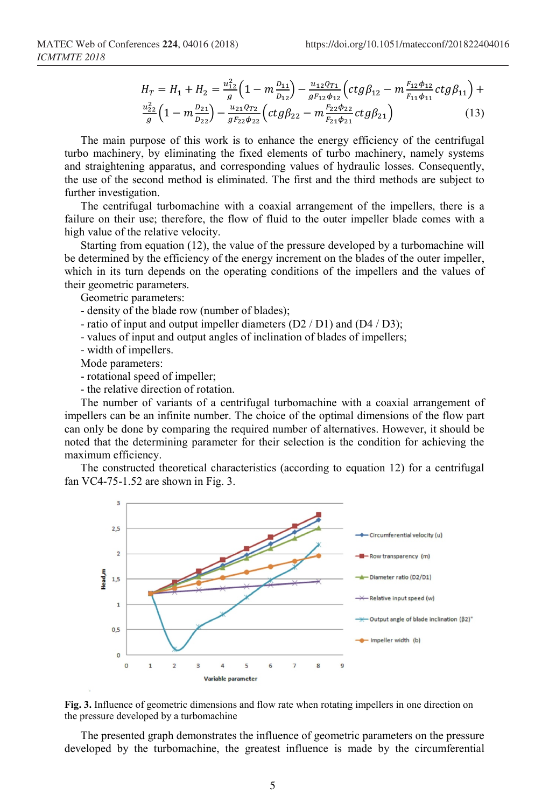$$
H_T = H_1 + H_2 = \frac{u_{12}^2}{g} \left( 1 - m \frac{D_{11}}{D_{12}} \right) - \frac{u_{12}Q_{T1}}{g_{12}\phi_{12}} \left( ctg\beta_{12} - m \frac{F_{12}\phi_{12}}{F_{11}\phi_{11}} ctg\beta_{11} \right) + \frac{u_{22}^2}{g} \left( 1 - m \frac{D_{21}}{D_{22}} \right) - \frac{u_{21}Q_{T2}}{g_{12}\phi_{22}} \left( ctg\beta_{22} - m \frac{F_{22}\phi_{22}}{F_{21}\phi_{21}} ctg\beta_{21} \right)
$$
(13)

The main purpose of this work is to enhance the energy efficiency of the centrifugal turbo machinery, by eliminating the fixed elements of turbo machinery, namely systems and straightening apparatus, and corresponding values of hydraulic losses. Consequently, the use of the second method is eliminated. The first and the third methods are subject to further investigation.

The centrifugal turbomachine with a coaxial arrangement of the impellers, there is a failure on their use; therefore, the flow of fluid to the outer impeller blade comes with a high value of the relative velocity.

Starting from equation (12), the value of the pressure developed by a turbomachine will be determined by the efficiency of the energy increment on the blades of the outer impeller, which in its turn depends on the operating conditions of the impellers and the values of their geometric parameters.

Geometric parameters:

- density of the blade row (number of blades);

- ratio of input and output impeller diameters (D2 / D1) and (D4 / D3);

- values of input and output angles of inclination of blades of impellers;
- width of impellers.

Mode parameters:

- rotational speed of impeller;

- the relative direction of rotation.

The number of variants of a centrifugal turbomachine with a coaxial arrangement of impellers can be an infinite number. The choice of the optimal dimensions of the flow part can only be done by comparing the required number of alternatives. However, it should be noted that the determining parameter for their selection is the condition for achieving the maximum efficiency.

The constructed theoretical characteristics (according to equation 12) for a centrifugal fan VC4-75-1.52 are shown in Fig. 3.





The presented graph demonstrates the influence of geometric parameters on the pressure developed by the turbomachine, the greatest influence is made by the circumferential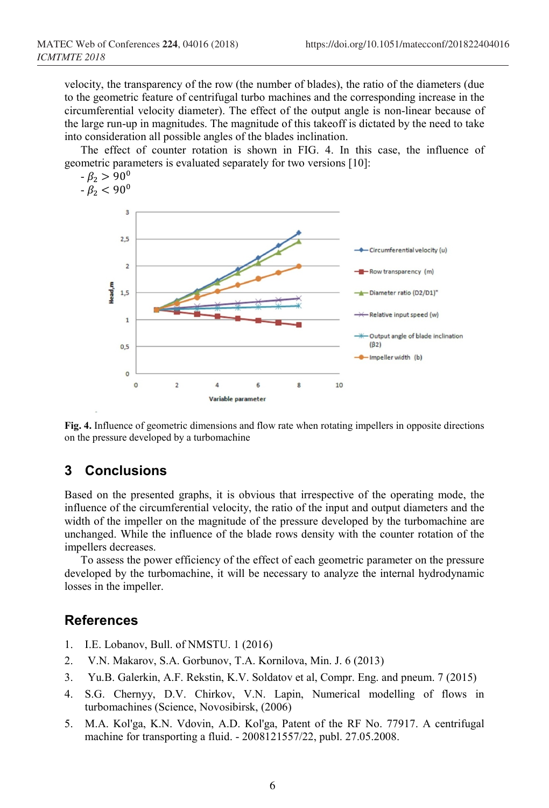velocity, the transparency of the row (the number of blades), the ratio of the diameters (due to the geometric feature of centrifugal turbo machines and the corresponding increase in the circumferential velocity diameter). The effect of the output angle is non-linear because of the large run-up in magnitudes. The magnitude of this takeoff is dictated by the need to take into consideration all possible angles of the blades inclination.

The effect of counter rotation is shown in FIG. 4. In this case, the influence of geometric parameters is evaluated separately for two versions [10]:



**Fig. 4.** Influence of geometric dimensions and flow rate when rotating impellers in opposite directions on the pressure developed by a turbomachine

## **3 Conclusions**

Based on the presented graphs, it is obvious that irrespective of the operating mode, the influence of the circumferential velocity, the ratio of the input and output diameters and the width of the impeller on the magnitude of the pressure developed by the turbomachine are unchanged. While the influence of the blade rows density with the counter rotation of the impellers decreases.

To assess the power efficiency of the effect of each geometric parameter on the pressure developed by the turbomachine, it will be necessary to analyze the internal hydrodynamic losses in the impeller.

### **References**

- 1. I.E. Lobanov, Bull. of NMSTU. 1 (2016)
- 2. V.N. Makarov, S.A. Gorbunov, T.A. Kornilova, Min. J. 6 (2013)
- 3. Yu.B. Galerkin, A.F. Rekstin, K.V. Soldatov et al, Compr. Eng. and pneum. 7 (2015)
- 4. S.G. Chernyy, D.V. Chirkov, V.N. Lapin, Numerical modelling of flows in turbomachines (Science, Novosibirsk, (2006)
- 5. M.A. Kol'ga, K.N. Vdovin, A.D. Kol'ga, Patent of the RF No. 77917. A centrifugal machine for transporting a fluid. - 2008121557/22, publ. 27.05.2008.